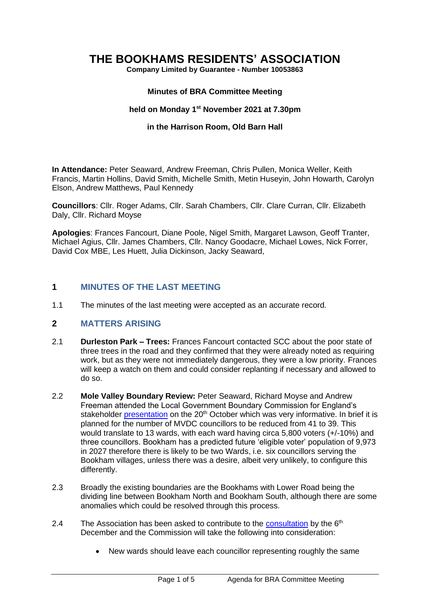# **THE BOOKHAMS RESIDENTS' ASSOCIATION**

**Company Limited by Guarantee - Number 10053863**

#### **Minutes of BRA Committee Meeting**

#### **held on Monday 1 st November 2021 at 7.30pm**

#### **in the Harrison Room, Old Barn Hall**

**In Attendance:** Peter Seaward, Andrew Freeman, Chris Pullen, Monica Weller, Keith Francis, Martin Hollins, David Smith, Michelle Smith, Metin Huseyin, John Howarth, Carolyn Elson, Andrew Matthews, Paul Kennedy

**Councillors**: Cllr. Roger Adams, Cllr. Sarah Chambers, Cllr. Clare Curran, Cllr. Elizabeth Daly, Cllr. Richard Moyse

**Apologies**: Frances Fancourt, Diane Poole, Nigel Smith, Margaret Lawson, Geoff Tranter, Michael Agius, Cllr. James Chambers, Cllr. Nancy Goodacre, Michael Lowes, Nick Forrer, David Cox MBE, Les Huett, Julia Dickinson, Jacky Seaward,

#### **1 MINUTES OF THE LAST MEETING**

1.1 The minutes of the last meeting were accepted as an accurate record.

#### **2 MATTERS ARISING**

- 2.1 **Durleston Park – Trees:** Frances Fancourt contacted SCC about the poor state of three trees in the road and they confirmed that they were already noted as requiring work, but as they were not immediately dangerous, they were a low priority. Frances will keep a watch on them and could consider replanting if necessary and allowed to do so.
- 2.2 **Mole Valley Boundary Review:** Peter Seaward, Richard Moyse and Andrew Freeman attended the Local Government Boundary Commission for England's stakeholder [presentation](https://www.youtube.com/watch?v=fI5H-337Fi8) on the 20<sup>th</sup> October which was very informative. In brief it is planned for the number of MVDC councillors to be reduced from 41 to 39. This would translate to 13 wards, with each ward having circa 5,800 voters (+/-10%) and three councillors. Bookham has a predicted future 'eligible voter' population of 9,973 in 2027 therefore there is likely to be two Wards, i.e. six councillors serving the Bookham villages, unless there was a desire, albeit very unlikely, to configure this differently.
- 2.3 Broadly the existing boundaries are the Bookhams with Lower Road being the dividing line between Bookham North and Bookham South, although there are some anomalies which could be resolved through this process.
- 2.4 The Association has been asked to contribute to the [consultation](https://consultation.lgbce.org.uk/have-your-say/30046) by the  $6<sup>th</sup>$ December and the Commission will take the following into consideration:
	- New wards should leave each councillor representing roughly the same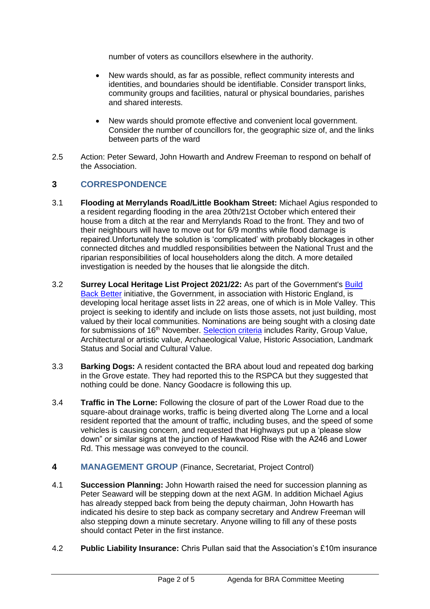number of voters as councillors elsewhere in the authority.

- New wards should, as far as possible, reflect community interests and identities, and boundaries should be identifiable. Consider transport links, community groups and facilities, natural or physical boundaries, parishes and shared interests.
- New wards should promote effective and convenient local government. Consider the number of councillors for, the geographic size of, and the links between parts of the ward
- 2.5 Action: Peter Seward, John Howarth and Andrew Freeman to respond on behalf of the Association.

# **3 CORRESPONDENCE**

- 3.1 **Flooding at Merrylands Road/Little Bookham Street:** Michael Agius responded to a resident regarding flooding in the area 20th/21st October which entered their house from a ditch at the rear and Merrylands Road to the front. They and two of their neighbours will have to move out for 6/9 months while flood damage is repaired.Unfortunately the solution is 'complicated' with probably blockages in other connected ditches and muddled responsibilities between the National Trust and the riparian responsibilities of local householders along the ditch. A more detailed investigation is needed by the houses that lie alongside the ditch.
- 3.2 **Surrey Local Heritage List Project 2021/22:** As part of the Government's [Build](https://assets.publishing.service.gov.uk/government/uploads/system/uploads/attachment_data/file/968403/PfG_Final_Web_Accessible_Version.pdf)  [Back Better](https://assets.publishing.service.gov.uk/government/uploads/system/uploads/attachment_data/file/968403/PfG_Final_Web_Accessible_Version.pdf) initiative, the Government, in association with Historic England, is developing local heritage asset lists in 22 areas, one of which is in Mole Valley. This project is seeking to identify and include on lists those assets, not just building, most valued by their local communities. Nominations are being sought with a closing date for submissions of 16<sup>th</sup> November. [Selection criteria](https://www.surreycc.gov.uk/land-planning-and-development/historical-planning/listproject/selectioncriteria) includes Rarity, Group Value, Architectural or artistic value, Archaeological Value, Historic Association, Landmark Status and Social and Cultural Value.
- 3.3 **Barking Dogs:** A resident contacted the BRA about loud and repeated dog barking in the Grove estate. They had reported this to the RSPCA but they suggested that nothing could be done. Nancy Goodacre is following this up.
- 3.4 **Traffic in The Lorne:** Following the closure of part of the Lower Road due to the square-about drainage works, traffic is being diverted along The Lorne and a local resident reported that the amount of traffic, including buses, and the speed of some vehicles is causing concern, and requested that Highways put up a 'please slow down" or similar signs at the junction of Hawkwood Rise with the A246 and Lower Rd. This message was conveyed to the council.
- **4 MANAGEMENT GROUP** (Finance, Secretariat, Project Control)
- 4.1 **Succession Planning:** John Howarth raised the need for succession planning as Peter Seaward will be stepping down at the next AGM. In addition Michael Agius has already stepped back from being the deputy chairman, John Howarth has indicated his desire to step back as company secretary and Andrew Freeman will also stepping down a minute secretary. Anyone willing to fill any of these posts should contact Peter in the first instance.
- 4.2 **Public Liability Insurance:** Chris Pullan said that the Association's £10m insurance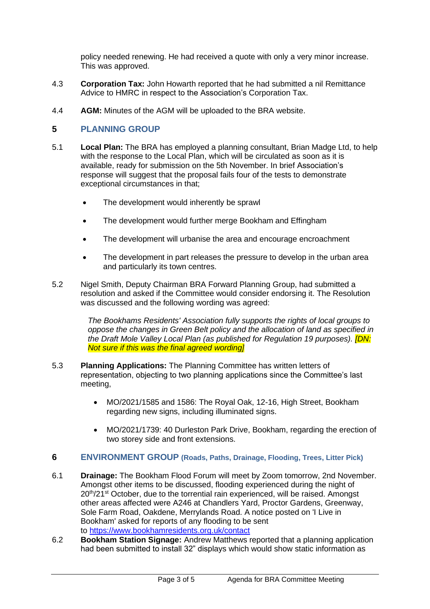policy needed renewing. He had received a quote with only a very minor increase. This was approved.

- 4.3 **Corporation Tax:** John Howarth reported that he had submitted a nil Remittance Advice to HMRC in respect to the Association's Corporation Tax.
- 4.4 **AGM:** Minutes of the AGM will be uploaded to the BRA website.

# **5 PLANNING GROUP**

- 5.1 **Local Plan:** The BRA has employed a planning consultant, Brian Madge Ltd, to help with the response to the Local Plan, which will be circulated as soon as it is available, ready for submission on the 5th November. In brief Association's response will suggest that the proposal fails four of the tests to demonstrate exceptional circumstances in that;
	- The development would inherently be sprawl
	- The development would further merge Bookham and Effingham
	- The development will urbanise the area and encourage encroachment
	- The development in part releases the pressure to develop in the urban area and particularly its town centres.
- 5.2 Nigel Smith, Deputy Chairman BRA Forward Planning Group, had submitted a resolution and asked if the Committee would consider endorsing it. The Resolution was discussed and the following wording was agreed:

*The Bookhams Residents' Association fully supports the rights of local groups to oppose the changes in Green Belt policy and the allocation of land as specified in the Draft Mole Valley Local Plan (as published for Regulation 19 purposes). [DN: Not sure if this was the final agreed wording]*

- 5.3 **Planning Applications:** The Planning Committee has written letters of representation, objecting to two planning applications since the Committee's last meeting,
	- MO/2021/1585 and 1586: The Royal Oak, 12-16, High Street, Bookham regarding new signs, including illuminated signs.
	- MO/2021/1739: 40 Durleston Park Drive, Bookham, regarding the erection of two storey side and front extensions.

### **6 ENVIRONMENT GROUP (Roads, Paths, Drainage, Flooding, Trees, Litter Pick)**

- 6.1 **Drainage:** The Bookham Flood Forum will meet by Zoom tomorrow, 2nd November. Amongst other items to be discussed, flooding experienced during the night of  $20<sup>th</sup>/21<sup>st</sup> October, due to the torrential rain experienced, will be raised. Amongst$ other areas affected were A246 at Chandlers Yard, Proctor Gardens, Greenway, Sole Farm Road, Oakdene, Merrylands Road. A notice posted on 'I Live in Bookham' asked for reports of any flooding to be sent to <https://www.bookhamresidents.org.uk/contact>
- 6.2 **Bookham Station Signage:** Andrew Matthews reported that a planning application had been submitted to install 32" displays which would show static information as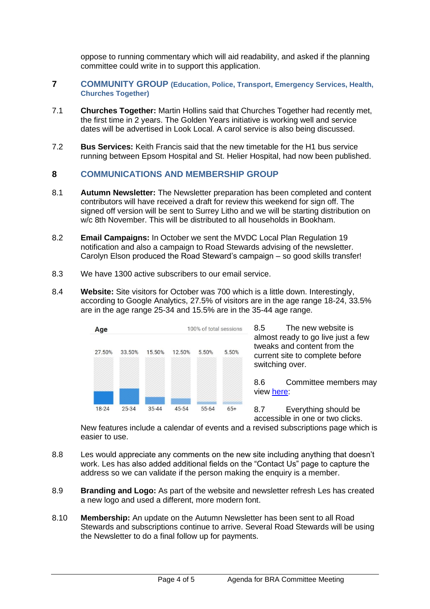oppose to running commentary which will aid readability, and asked if the planning committee could write in to support this application.

- **7 COMMUNITY GROUP (Education, Police, Transport, Emergency Services, Health, Churches Together)**
- 7.1 **Churches Together:** Martin Hollins said that Churches Together had recently met, the first time in 2 years. The Golden Years initiative is working well and service dates will be advertised in Look Local. A carol service is also being discussed.
- 7.2 **Bus Services:** Keith Francis said that the new timetable for the H1 bus service running between Epsom Hospital and St. Helier Hospital, had now been published.

### **8 COMMUNICATIONS AND MEMBERSHIP GROUP**

- 8.1 **Autumn Newsletter:** The Newsletter preparation has been completed and content contributors will have received a draft for review this weekend for sign off. The signed off version will be sent to Surrey Litho and we will be starting distribution on w/c 8th November. This will be distributed to all households in Bookham.
- 8.2 **Email Campaigns:** In October we sent the MVDC Local Plan Regulation 19 notification and also a campaign to Road Stewards advising of the newsletter. Carolyn Elson produced the Road Steward's campaign – so good skills transfer!
- 8.3 We have 1300 active subscribers to our email service.
- 8.4 **Website:** Site visitors for October was 700 which is a little down. Interestingly, according to Google Analytics, 27.5% of visitors are in the age range 18-24, 33.5% are in the age range 25-34 and 15.5% are in the 35-44 age range.



8.5 The new website is almost ready to go live just a few tweaks and content from the current site to complete before switching over.

8.6 Committee members may view [here:](9.7%09https:/bookhamresidents.rocketspark.co.uk/)

8.7 Everything should be accessible in one or two clicks.

New features include a calendar of events and a revised subscriptions page which is easier to use.

- 8.8 Les would appreciate any comments on the new site including anything that doesn't work. Les has also added additional fields on the "Contact Us" page to capture the address so we can validate if the person making the enquiry is a member.
- 8.9 **Branding and Logo:** As part of the website and newsletter refresh Les has created a new logo and used a different, more modern font.
- 8.10 **Membership:** An update on the Autumn Newsletter has been sent to all Road Stewards and subscriptions continue to arrive. Several Road Stewards will be using the Newsletter to do a final follow up for payments.